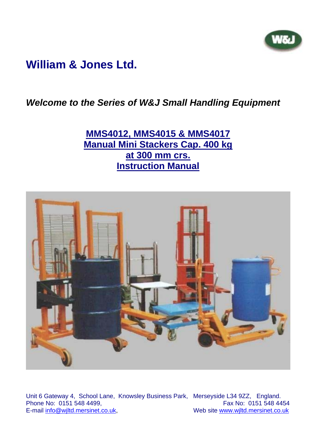

# **William & Jones Ltd.**

*Welcome to the Series of W&J Small Handling Equipment* 

**MMS4012, MMS4015 & MMS4017 Manual Mini Stackers Cap. 400 kg at 300 mm crs. Instruction Manual**



Unit 6 Gateway 4, School Lane, Knowsley Business Park, Merseyside L34 9ZZ, England. Phone No: 0151 548 4499,<br>E-mail info@wiltd.mersinet.co.uk, Web site www.wiltd.mersinet.co.uk Web site www.wjltd.mersinet.co.uk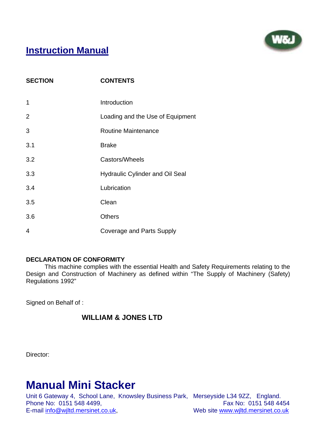

## **Instruction Manual**

| <b>SECTION</b> | <b>CONTENTS</b>                        |
|----------------|----------------------------------------|
| $\mathbf 1$    | Introduction                           |
| $\overline{2}$ | Loading and the Use of Equipment       |
| 3              | <b>Routine Maintenance</b>             |
| 3.1            | <b>Brake</b>                           |
| 3.2            | Castors/Wheels                         |
| 3.3            | <b>Hydraulic Cylinder and Oil Seal</b> |
| 3.4            | Lubrication                            |
| 3.5            | Clean                                  |
| 3.6            | <b>Others</b>                          |
| 4              | <b>Coverage and Parts Supply</b>       |

### **DECLARATION OF CONFORMITY**

 This machine complies with the essential Health and Safety Requirements relating to the Design and Construction of Machinery as defined within "The Supply of Machinery (Safety) Regulations 1992"

Signed on Behalf of :

### **WILLIAM & JONES LTD**

Director:

# **Manual Mini Stacker**

Unit 6 Gateway 4, School Lane, Knowsley Business Park, Merseyside L34 9ZZ, England. Phone No: 0151 548 4499,<br>
E-mail info@wiltd.mersinet.co.uk, Web site www.wiltd.mersinet.co.uk Web site www.wjltd.mersinet.co.uk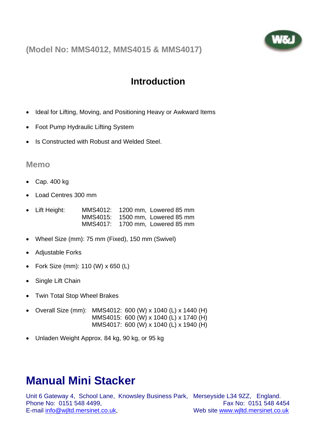**(Model No: MMS4012, MMS4015 & MMS4017)**



## **Introduction**

- Ideal for Lifting, Moving, and Positioning Heavy or Awkward Items
- Foot Pump Hydraulic Lifting System
- Is Constructed with Robust and Welded Steel.

### **Memo**

- Cap. 400 kg
- Load Centres 300 mm
- Lift Height: MMS4012: 1200 mm, Lowered 85 mm MMS4015: 1500 mm, Lowered 85 mm MMS4017: 1700 mm, Lowered 85 mm
- Wheel Size (mm): 75 mm (Fixed), 150 mm (Swivel)
- Adjustable Forks
- Fork Size (mm): 110 (W) x 650 (L)
- Single Lift Chain
- Twin Total Stop Wheel Brakes
- Overall Size (mm): MMS4012: 600 (W) x 1040 (L) x 1440 (H) MMS4015: 600 (W) x 1040 (L) x 1740 (H) MMS4017: 600 (W) x 1040 (L) x 1940 (H)
- Unladen Weight Approx. 84 kg, 90 kg, or 95 kg

# **Manual Mini Stacker**

Unit 6 Gateway 4, School Lane, Knowsley Business Park, Merseyside L34 9ZZ, England. Phone No: 0151 548 4499. Fax No: 0151 548 4454 E-mail info@wjltd.mersinet.co.uk, Web site www.wjltd.mersinet.co.uk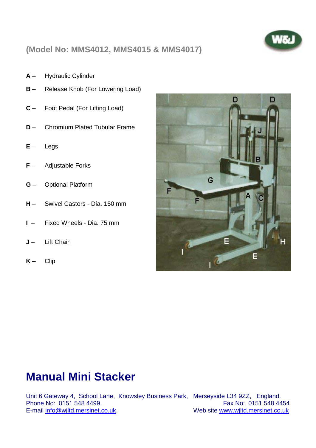

## **(Model No: MMS4012, MMS4015 & MMS4017)**

- **A** Hydraulic Cylinder
- **B** Release Knob (For Lowering Load)
- **C** Foot Pedal (For Lifting Load)
- **D** Chromium Plated Tubular Frame
- **E** Legs
- **F** Adjustable Forks
- **G** Optional Platform
- **H** Swivel Castors Dia. 150 mm
- **I**  Fixed Wheels Dia. 75 mm
- **J** Lift Chain
- **K** Clip



# **Manual Mini Stacker**

Unit 6 Gateway 4, School Lane, Knowsley Business Park, Merseyside L34 9ZZ, England. Phone No: 0151 548 4499,<br>E-mail info@wiltd.mersinet.co.uk, Web site www.wiltd.mersinet.co.uk

Web site www.wjltd.mersinet.co.uk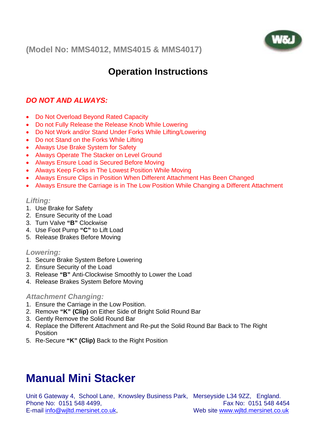**(Model No: MMS4012, MMS4015 & MMS4017)**



# **Operation Instructions**

## *DO NOT AND ALWAYS:*

- Do Not Overload Beyond Rated Capacity
- Do not Fully Release the Release Knob While Lowering
- Do Not Work and/or Stand Under Forks While Lifting/Lowering
- Do not Stand on the Forks While Lifting
- Always Use Brake System for Safety
- Always Operate The Stacker on Level Ground
- Always Ensure Load is Secured Before Moving
- Always Keep Forks in The Lowest Position While Moving
- Always Ensure Clips in Position When Different Attachment Has Been Changed
- Always Ensure the Carriage is in The Low Position While Changing a Different Attachment

### *Lifting:*

- 1. Use Brake for Safety
- 2. Ensure Security of the Load
- 3. Turn Valve **"B"** Clockwise
- 4. Use Foot Pump **"C"** to Lift Load
- 5. Release Brakes Before Moving

#### *Lowering:*

- 1. Secure Brake System Before Lowering
- 2. Ensure Security of the Load
- 3. Release **"B"** Anti-Clockwise Smoothly to Lower the Load
- 4. Release Brakes System Before Moving

### *Attachment Changing:*

- 1. Ensure the Carriage in the Low Position.
- 2. Remove **"K" (Clip)** on Either Side of Bright Solid Round Bar
- 3. Gently Remove the Solid Round Bar
- 4. Replace the Different Attachment and Re-put the Solid Round Bar Back to The Right Position
- 5. Re-Secure **"K" (Clip)** Back to the Right Position

# **Manual Mini Stacker**

Unit 6 Gateway 4, School Lane, Knowsley Business Park, Merseyside L34 9ZZ, England. Phone No: 0151 548 4499. Fax No: 0151 548 4454 E-mail info@wjltd.mersinet.co.uk, Web site www.wjltd.mersinet.co.uk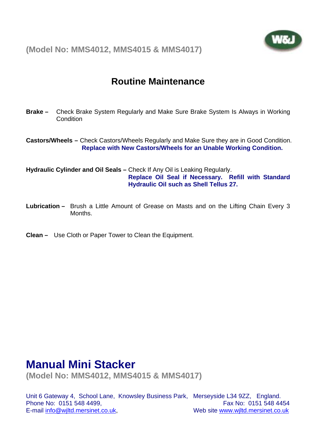



# **Routine Maintenance**

**Brake –** Check Brake System Regularly and Make Sure Brake System Is Always in Working **Condition** 

**Castors/Wheels –** Check Castors/Wheels Regularly and Make Sure they are in Good Condition. **Replace with New Castors/Wheels for an Unable Working Condition.** 

**Hydraulic Cylinder and Oil Seals –** Check If Any Oil is Leaking Regularly.

**Replace Oil Seal if Necessary. Refill with Standard Hydraulic Oil such as Shell Tellus 27.** 

- **Lubrication** Brush a Little Amount of Grease on Masts and on the Lifting Chain Every 3 **Months**
- **Clean** Use Cloth or Paper Tower to Clean the Equipment.

# **Manual Mini Stacker**

**(Model No: MMS4012, MMS4015 & MMS4017)**

Unit 6 Gateway 4, School Lane, Knowsley Business Park, Merseyside L34 9ZZ, England. Phone No: 0151 548 4499. Fax No: 0151 548 4454 E-mail info@wjltd.mersinet.co.uk, Web site www.wjltd.mersinet.co.uk